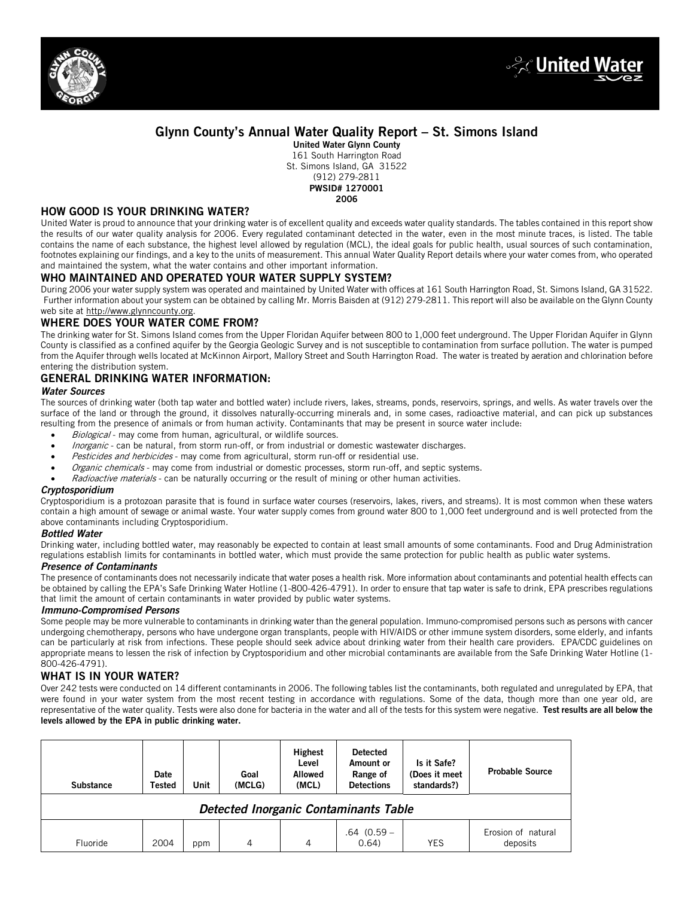



## Glynn County's Annual Water Quality Report – St. Simons Island

United Water Glynn County 161 South Harrington Road St. Simons Island, GA 31522 (912) 279-2811 PWSID# 1270001 2006

## HOW GOOD IS YOUR DRINKING WATER?

United Water is proud to announce that your drinking water is of excellent quality and exceeds water quality standards. The tables contained in this report show the results of our water quality analysis for 2006. Every regulated contaminant detected in the water, even in the most minute traces, is listed. The table contains the name of each substance, the highest level allowed by regulation (MCL), the ideal goals for public health, usual sources of such contamination, footnotes explaining our findings, and a key to the units of measurement. This annual Water Quality Report details where your water comes from, who operated and maintained the system, what the water contains and other important information.

## WHO MAINTAINED AND OPERATED YOUR WATER SUPPLY SYSTEM?

During 2006 your water supply system was operated and maintained by United Water with offices at 161 South Harrington Road, St. Simons Island, GA 31522. Further information about your system can be obtained by calling Mr. Morris Baisden at (912) 279-2811. This report will also be available on the Glynn County web site at http://www.glynncounty.org.

## WHERE DOES YOUR WATER COME FROM?

The drinking water for St. Simons Island comes from the Upper Floridan Aquifer between 800 to 1,000 feet underground. The Upper Floridan Aquifer in Glynn County is classified as a confined aquifer by the Georgia Geologic Survey and is not susceptible to contamination from surface pollution. The water is pumped from the Aquifer through wells located at McKinnon Airport, Mallory Street and South Harrington Road. The water is treated by aeration and chlorination before entering the distribution system.

## GENERAL DRINKING WATER INFORMATION:

#### *Water Sources*

The sources of drinking water (both tap water and bottled water) include rivers, lakes, streams, ponds, reservoirs, springs, and wells. As water travels over the surface of the land or through the ground, it dissolves naturally-occurring minerals and, in some cases, radioactive material, and can pick up substances resulting from the presence of animals or from human activity. Contaminants that may be present in source water include:

- Biological may come from human, agricultural, or wildlife sources.
- Inorganic can be natural, from storm run-off, or from industrial or domestic wastewater discharges.
- Pesticides and herbicides may come from agricultural, storm run-off or residential use.
- Organic chemicals may come from industrial or domestic processes, storm run-off, and septic systems.
- Radioactive materials can be naturally occurring or the result of mining or other human activities.

#### *Cryptosporidium*

Cryptosporidium is a protozoan parasite that is found in surface water courses (reservoirs, lakes, rivers, and streams). It is most common when these waters contain a high amount of sewage or animal waste. Your water supply comes from ground water 800 to 1,000 feet underground and is well protected from the above contaminants including Cryptosporidium.

#### *Bottled Water*

Drinking water, including bottled water, may reasonably be expected to contain at least small amounts of some contaminants. Food and Drug Administration regulations establish limits for contaminants in bottled water, which must provide the same protection for public health as public water systems.

### *Presence of Contaminants*

The presence of contaminants does not necessarily indicate that water poses a health risk. More information about contaminants and potential health effects can be obtained by calling the EPA's Safe Drinking Water Hotline (1-800-426-4791). In order to ensure that tap water is safe to drink, EPA prescribes regulations that limit the amount of certain contaminants in water provided by public water systems.

#### *Immuno-Compromised Persons*

Some people may be more vulnerable to contaminants in drinking water than the general population. Immuno-compromised persons such as persons with cancer undergoing chemotherapy, persons who have undergone organ transplants, people with HIV/AIDS or other immune system disorders, some elderly, and infants can be particularly at risk from infections. These people should seek advice about drinking water from their health care providers. EPA/CDC guidelines on appropriate means to lessen the risk of infection by Cryptosporidium and other microbial contaminants are available from the Safe Drinking Water Hotline (1- 800-426-4791).

## WHAT IS IN YOUR WATER?

Over 242 tests were conducted on 14 different contaminants in 2006. The following tables list the contaminants, both regulated and unregulated by EPA, that were found in your water system from the most recent testing in accordance with regulations. Some of the data, though more than one year old, are representative of the water quality. Tests were also done for bacteria in the water and all of the tests for this system were negative. Test results are all below the levels allowed by the EPA in public drinking water.

| <b>Substance</b>                             | Date<br>Tested | Unit | Goal<br>(MCLG) | <b>Highest</b><br>Level<br>Allowed<br>(MCL) | <b>Detected</b><br>Amount or<br>Range of<br><b>Detections</b> | Is it Safe?<br>(Does it meet<br>standards?) | <b>Probable Source</b>         |
|----------------------------------------------|----------------|------|----------------|---------------------------------------------|---------------------------------------------------------------|---------------------------------------------|--------------------------------|
| <b>Detected Inorganic Contaminants Table</b> |                |      |                |                                             |                                                               |                                             |                                |
| Fluoride                                     | 2004           | ppm  | 4              | 4                                           | $.64(0.59 -$<br>0.64)                                         | YES                                         | Erosion of natural<br>deposits |